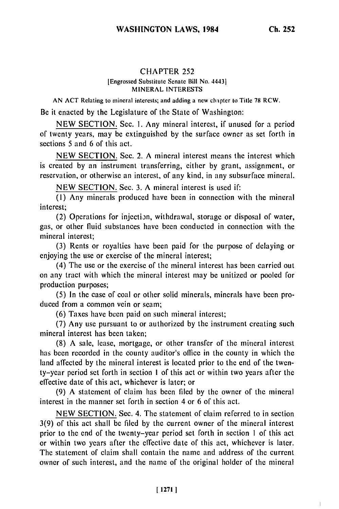## CHAPTER 252

## [Engrossed Substitute Senate Bill No. 44431 MINERAL INTERESTS

**AN ACT** Relating to mineral interests; and adding a new chapter to Title **78** RCW.

Be it enacted by the Legislature of the State of Washington:

NEW SECTION. Sec. 1. Any mineral interest, if unused for a period of twenty years, may be extinguished by the surface owner as set forth in sections 5 and 6 of this act.

NEW SECTION. Sec. 2. A mineral interest means the interest which is created by an instrument transferring, either by grant, assignment, or reservation, or otherwise an interest, of any kind, in any subsurface mineral.

NEW SECTION. Sec. 3. A mineral interest is used if:

(1) Any minerals produced have been in connection with the mineral interest;

(2) Operations for injection, withdrawal, storage or disposal of water, gas, or other fluid substances have been conducted in connection with the mineral interest;

(3) Rents or royalties have been paid for the purpose of delaying or enjoying the use or exercise of the mineral interest;

(4) The use or the exercise of the mineral interest has been carried out on any tract with which the mineral interest may be unitized or pooled for production purposes;

(5) In the case of coal or other solid minerals, minerals have been produced from a common vein or seam;

(6) Taxes have been paid on such mineral interest;

(7) Any use pursuant to or authorized by the instrument creating such mineral interest has been taken;

**(8)** A sale, lease, mortgage, or other transfer of the mineral interest has been recorded in the county auditor's office in the county in which the land affected by the mineral interest is located prior to the end of the twenty-year period set forth in section I of this act or within two years after the effective date of this act, whichever is later; or

(9) A statement of claim has been filed by the owner of the mineral interest in the manner set forth in section 4 or 6 of this act.

NEW SECTION. Sec. 4. The statement of claim referred to in section 3(9) of this act shall be filed by the current owner of the mineral interest prior to the end of the twenty-year period set forth in section **I** of this act or within two years after the effective date of this act, whichever is later. The statement of claim shall contain the name and address of the current owner of such interest, and the name of the original holder of the mineral

 $\|$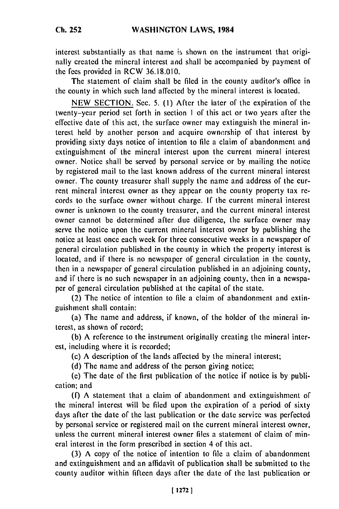interest substantially as that name is shown on the instrument that originally created the mineral interest and shall be accompanied by payment of the fees provided in RCW 36.18.010.

The statement of claim shall be filed in the county auditor's office in the county in which such land affected by the mineral interest is located.

NEW SECTION. Sec. 5. (1) After the later of the expiration of the twenty-year period set forth in section **I** of this act or two years after the effective date of this act, the surface owner may extinguish the mineral interest held by another person and acquire ownership of that interest by providing sixty days notice of intention to file a claim of abandonment and extinguishment of the mineral interest upon the current mineral interest owner. Notice shall be served by personal service or by mailing the notice by registered mail to the last known address of the current mineral interest owner. The county treasurer shall supply the name and address of the current mineral interest owner as they appear on the county property tax records to the surface owner without charge. If the current mineral interest owner is unknown to the county treasurer, and the current mineral interest owner cannot be determined after due diligence, the surface owner may serve the notice upon the current mineral interest owner by publishing the notice at least once each week for three consecutive weeks in a newspaper of general circulation published in the county in which the property interest is located, and if there is no newspaper of general circulation in the county, then in a newspaper of general circulation published in an adjoining county, and if there is no such newspaper in an adjoining county, then in a newspaper of general circulation published at the capital of the state.

(2) The notice of intention to file a claim of abandonment and extinguishment shall contain:

(a) The name and address, if known, of the holder of the mineral interest, as shown of record;

(b) A reference to the instrument originally creating the mineral interest, including where it is recorded;

(c) A description of the lands affected by the mineral interest;

(d) The name and address of the person giving notice;

(e) The date of the first publication of the notice if notice is by publication; and

(f) A statement that a claim of abandonment and extinguishment of the mineral interest will be filed upon the expiration of a period of sixty days after the date of the last publication or the date service was perfected by personal service or registered mail on the current mineral interest owner, unless the current mineral interest owner files a statement of claim of mineral interest in the form prescribed in section 4 of this act.

(3) A copy of the notice of intention to file a claim of abandonment and extinguishment and an affidavit of publication shall be submitted to the county auditor within fifteen days after the date of the last publication or